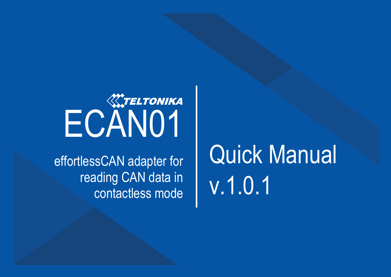# ECAN01

effortlessCAN adapter for reading CAN data in contactless mode

## Quick Manual v.1.0.1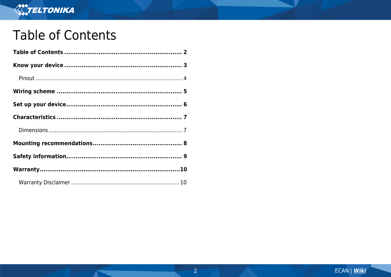

#### <span id="page-1-0"></span>**Table of Contents**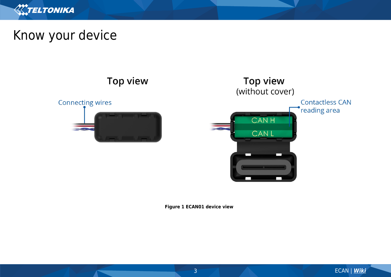

## <span id="page-2-0"></span>Know your device





**Figure 1 ECAN01 device view**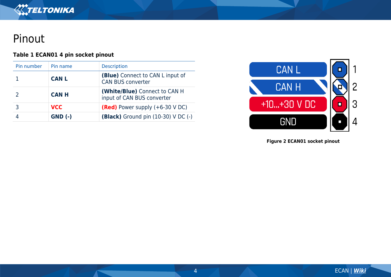

#### <span id="page-3-0"></span>Pinout

#### **Table 1 ECAN01 4 pin socket pinout**

| Pin number | Pin name     | <b>Description</b>                                                  |
|------------|--------------|---------------------------------------------------------------------|
|            | <b>CAN L</b> | <b>(Blue)</b> Connect to CAN L input of<br><b>CAN BUS converter</b> |
|            | <b>CAN H</b> | (White/Blue) Connect to CAN H<br>input of CAN BUS converter         |
|            | <b>VCC</b>   | <b>(Red)</b> Power supply (+6-30 V DC)                              |
|            | $GND$ $(-)$  | <b>(Black)</b> Ground pin $(10-30)$ V DC $(-)$                      |



**Figure 2 ECAN01 socket pinout**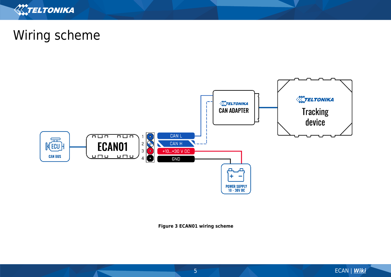

## <span id="page-4-0"></span>Wiring scheme



**Figure 3 ECAN01 wiring scheme**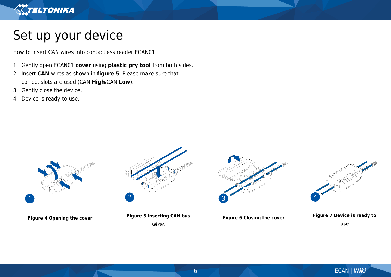

#### <span id="page-5-0"></span>Set up your device

How to insert CAN wires into contactless reader ECAN01

- 1. Gently open ECAN01 **cover** using **plastic pry tool** from both sides.
- 2. Insert **CAN** wires as shown in **figure 5**. Please make sure that correct slots are used (CAN **High**/CAN **Low**).
- 3. Gently close the device.
- 4. Device is ready-to-use.

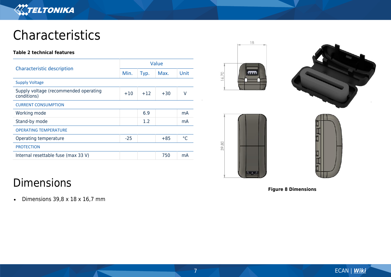

## <span id="page-6-0"></span>**Characteristics**

#### **Table 2 technical features**

|                                                      | Value |       |       |         |
|------------------------------------------------------|-------|-------|-------|---------|
| <b>Characteristic description</b>                    |       | Typ.  | Max.  | Unit    |
| <b>Supply Voltage</b>                                |       |       |       |         |
| Supply voltage (recommended operating<br>conditions) | $+10$ | $+12$ | $+30$ | V       |
| <b>CURRENT CONSUMPTION</b>                           |       |       |       |         |
| Working mode                                         |       | 6.9   |       | mA      |
| Stand-by mode                                        |       | 1.2   |       | mA      |
| <b>OPERATING TEMPERATURE</b>                         |       |       |       |         |
| Operating temperature                                | $-25$ |       | $+85$ | $\circ$ |
| <b>PROTECTION</b>                                    |       |       |       |         |
| Internal resettable fuse (max 33 V)                  |       |       | 750   | mA      |









**Figure 8 Dimensions**

#### <span id="page-6-1"></span>Dimensions

• Dimensions  $39.8 \times 18 \times 16.7$  mm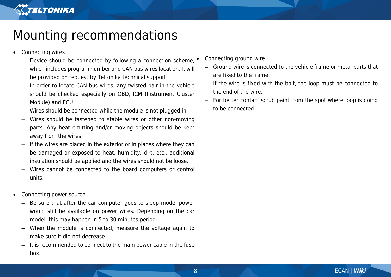

#### <span id="page-7-0"></span>Mounting recommendations

- Connecting wires
	- ▬ Device should be connected by following a connection scheme, which includes program number and CAN bus wires location. It will be provided on request by Teltonika technical support.
	- $-$  In order to locate CAN bus wires, any twisted pair in the vehicle should be checked especially on OBD, ICM (Instrument Cluster Module) and ECU.
	- ▬ Wires should be connected while the module is not plugged in.
	- ▬ Wires should be fastened to stable wires or other non-moving parts. Any heat emitting and/or moving objects should be kept away from the wires.
	- ▬ If the wires are placed in the exterior or in places where they can be damaged or exposed to heat, humidity, dirt, etc., additional insulation should be applied and the wires should not be loose.
	- Wires cannot be connected to the board computers or control units.
- Connecting power source
	- ▬ Be sure that after the car computer goes to sleep mode, power would still be available on power wires. Depending on the car model, this may happen in 5 to 30 minutes period.
	- When the module is connected, measure the voltage again to make sure it did not decrease.
	- It is recommended to connect to the main power cable in the fuse box.
- Connecting ground wire
- ▬ Ground wire is connected to the vehicle frame or metal parts that are fixed to the frame.
- ▬ If the wire is fixed with the bolt, the loop must be connected to the end of the wire.
- ▬ For better contact scrub paint from the spot where loop is going to be connected.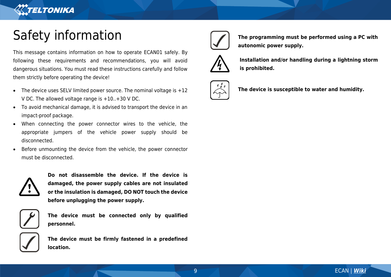

#### <span id="page-8-0"></span>Safety information

This message contains information on how to operate ECAN01 safely. By following these requirements and recommendations, you will avoid dangerous situations. You must read these instructions carefully and follow them strictly before operating the device!

- The device uses SELV limited power source. The nominal voltage is +12 V DC. The allowed voltage range is +10..+30 V DC.
- To avoid mechanical damage, it is advised to transport the device in an impact-proof package.
- When connecting the power connector wires to the vehicle, the appropriate jumpers of the vehicle power supply should be disconnected.
- Before unmounting the device from the vehicle, the power connector must be disconnected.



**Do not disassemble the device. If the device is damaged, the power supply cables are not insulated or the insulation is damaged, DO NOT touch the device before unplugging the power supply.**



**The device must be connected only by qualified personnel.**

**The device must be firmly fastened in a predefined location.**



**The programming must be performed using a PC with autonomic power supply.**



**Installation and/or handling during a lightning storm is prohibited.**



**The device is susceptible to water and humidity.**